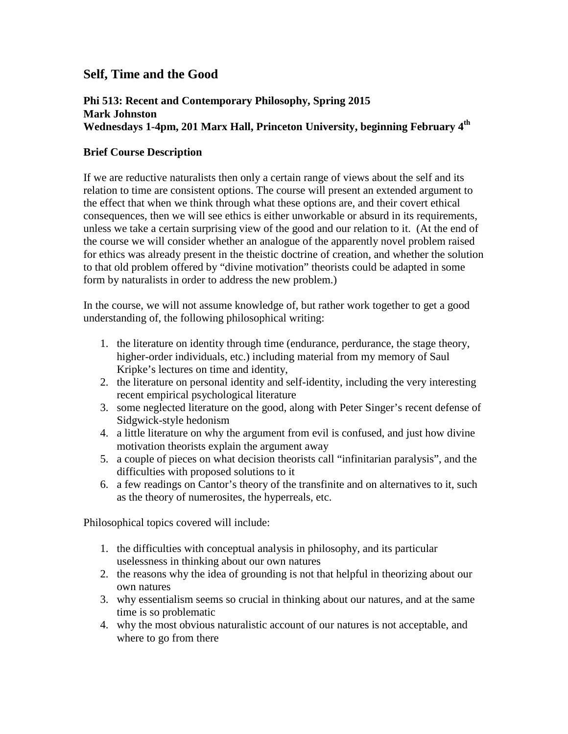## **Self, Time and the Good**

## **Phi 513: Recent and Contemporary Philosophy, Spring 2015 Mark Johnston Wednesdays 1-4pm, 201 Marx Hall, Princeton University, beginning February 4th**

## **Brief Course Description**

If we are reductive naturalists then only a certain range of views about the self and its relation to time are consistent options. The course will present an extended argument to the effect that when we think through what these options are, and their covert ethical consequences, then we will see ethics is either unworkable or absurd in its requirements, unless we take a certain surprising view of the good and our relation to it. (At the end of the course we will consider whether an analogue of the apparently novel problem raised for ethics was already present in the theistic doctrine of creation, and whether the solution to that old problem offered by "divine motivation" theorists could be adapted in some form by naturalists in order to address the new problem.)

In the course, we will not assume knowledge of, but rather work together to get a good understanding of, the following philosophical writing:

- 1. the literature on identity through time (endurance, perdurance, the stage theory, higher-order individuals, etc.) including material from my memory of Saul Kripke's lectures on time and identity,
- 2. the literature on personal identity and self-identity, including the very interesting recent empirical psychological literature
- 3. some neglected literature on the good, along with Peter Singer's recent defense of Sidgwick-style hedonism
- 4. a little literature on why the argument from evil is confused, and just how divine motivation theorists explain the argument away
- 5. a couple of pieces on what decision theorists call "infinitarian paralysis", and the difficulties with proposed solutions to it
- 6. a few readings on Cantor's theory of the transfinite and on alternatives to it, such as the theory of numerosites, the hyperreals, etc.

Philosophical topics covered will include:

- 1. the difficulties with conceptual analysis in philosophy, and its particular uselessness in thinking about our own natures
- 2. the reasons why the idea of grounding is not that helpful in theorizing about our own natures
- 3. why essentialism seems so crucial in thinking about our natures, and at the same time is so problematic
- 4. why the most obvious naturalistic account of our natures is not acceptable, and where to go from there